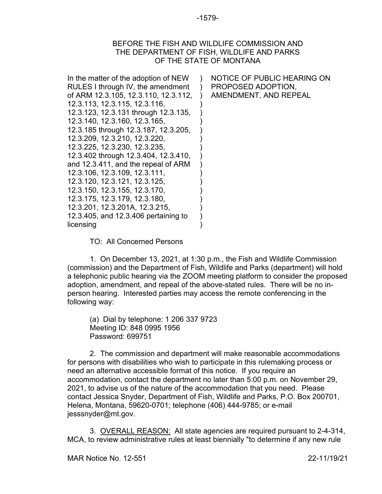## BEFORE THE FISH AND WILDLIFE COMMISSION AND THE DEPARTMENT OF FISH, WILDLIFE AND PARKS OF THE STATE OF MONTANA

| In the matter of the adoption of NEW<br>RULES I through IV, the amendment<br>of ARM 12.3.105, 12.3.110, 12.3.112,<br>12.3.113, 12.3.115, 12.3.116,<br>12.3.123, 12.3.131 through 12.3.135,<br>12.3.140, 12.3.160, 12.3.165,<br>12.3.185 through 12.3.187, 12.3.205,<br>12.3.209, 12.3.210, 12.3.220,<br>12.3.225, 12.3.230, 12.3.235,<br>12.3.402 through 12.3.404, 12.3.410,<br>and 12.3.411, and the repeal of ARM<br>12.3.106, 12.3.109, 12.3.111,<br>12.3.120, 12.3.121, 12.3.125,<br>12.3.150, 12.3.155, 12.3.170,<br>12.3.175, 12.3.179, 12.3.180,<br>12.3.201, 12.3.201A, 12.3.215,<br>12.3.405, and 12.3.406 pertaining to | NOTICE OF PUBLIC HEARING ON<br>PROPOSED ADOPTION.<br>AMENDMENT, AND REPEAL |
|------------------------------------------------------------------------------------------------------------------------------------------------------------------------------------------------------------------------------------------------------------------------------------------------------------------------------------------------------------------------------------------------------------------------------------------------------------------------------------------------------------------------------------------------------------------------------------------------------------------------------------|----------------------------------------------------------------------------|
| licensing                                                                                                                                                                                                                                                                                                                                                                                                                                                                                                                                                                                                                          |                                                                            |

TO: All Concerned Persons

1. On December 13, 2021, at 1:30 p.m., the Fish and Wildlife Commission (commission) and the Department of Fish, Wildlife and Parks (department) will hold a telephonic public hearing via the ZOOM meeting platform to consider the proposed adoption, amendment, and repeal of the above-stated rules. There will be no inperson hearing. Interested parties may access the remote conferencing in the following way:

(a) Dial by telephone: 1 206 337 9723 Meeting ID: 848 0995 1956 Password: 699751

2. The commission and department will make reasonable accommodations for persons with disabilities who wish to participate in this rulemaking process or need an alternative accessible format of this notice. If you require an accommodation, contact the department no later than 5:00 p.m. on November 29, 2021, to advise us of the nature of the accommodation that you need. Please contact Jessica Snyder, Department of Fish, Wildlife and Parks, P.O. Box 200701, Helena, Montana, 59620-0701; telephone (406) 444-9785; or e-mail jesssnyder@mt.gov.

3. OVERALL REASON: All state agencies are required pursuant to 2-4-314, MCA, to review administrative rules at least biennially "to determine if any new rule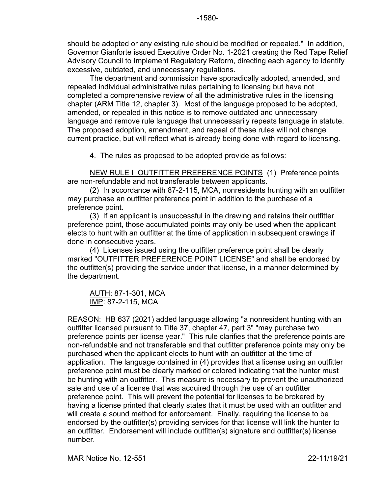should be adopted or any existing rule should be modified or repealed." In addition, Governor Gianforte issued Executive Order No. 1-2021 creating the Red Tape Relief Advisory Council to Implement Regulatory Reform, directing each agency to identify excessive, outdated, and unnecessary regulations.

The department and commission have sporadically adopted, amended, and repealed individual administrative rules pertaining to licensing but have not completed a comprehensive review of all the administrative rules in the licensing chapter (ARM Title 12, chapter 3). Most of the language proposed to be adopted, amended, or repealed in this notice is to remove outdated and unnecessary language and remove rule language that unnecessarily repeats language in statute. The proposed adoption, amendment, and repeal of these rules will not change current practice, but will reflect what is already being done with regard to licensing.

4. The rules as proposed to be adopted provide as follows:

NEW RULE I OUTFITTER PREFERENCE POINTS (1) Preference points are non-refundable and not transferable between applicants.

(2) In accordance with 87-2-115, MCA, nonresidents hunting with an outfitter may purchase an outfitter preference point in addition to the purchase of a preference point.

(3) If an applicant is unsuccessful in the drawing and retains their outfitter preference point, those accumulated points may only be used when the applicant elects to hunt with an outfitter at the time of application in subsequent drawings if done in consecutive years.

(4) Licenses issued using the outfitter preference point shall be clearly marked "OUTFITTER PREFERENCE POINT LICENSE" and shall be endorsed by the outfitter(s) providing the service under that license, in a manner determined by the department.

AUTH: 87-1-301, MCA IMP: 87-2-115, MCA

REASON: HB 637 (2021) added language allowing "a nonresident hunting with an outfitter licensed pursuant to Title 37, chapter 47, part 3" "may purchase two preference points per license year." This rule clarifies that the preference points are non-refundable and not transferable and that outfitter preference points may only be purchased when the applicant elects to hunt with an outfitter at the time of application. The language contained in (4) provides that a license using an outfitter preference point must be clearly marked or colored indicating that the hunter must be hunting with an outfitter. This measure is necessary to prevent the unauthorized sale and use of a license that was acquired through the use of an outfitter preference point. This will prevent the potential for licenses to be brokered by having a license printed that clearly states that it must be used with an outfitter and will create a sound method for enforcement. Finally, requiring the license to be endorsed by the outfitter(s) providing services for that license will link the hunter to an outfitter. Endorsement will include outfitter(s) signature and outfitter(s) license number.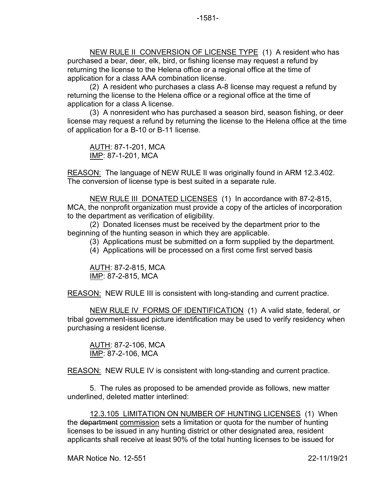NEW RULE II CONVERSION OF LICENSE TYPE (1) A resident who has purchased a bear, deer, elk, bird, or fishing license may request a refund by returning the license to the Helena office or a regional office at the time of application for a class AAA combination license.

(2) A resident who purchases a class A-8 license may request a refund by returning the license to the Helena office or a regional office at the time of application for a class A license.

(3) A nonresident who has purchased a season bird, season fishing, or deer license may request a refund by returning the license to the Helena office at the time of application for a B-10 or B-11 license.

AUTH: 87-1-201, MCA IMP: 87-1-201, MCA

REASON: The language of NEW RULE II was originally found in ARM 12.3.402. The conversion of license type is best suited in a separate rule.

NEW RULE III DONATED LICENSES (1) In accordance with 87-2-815, MCA, the nonprofit organization must provide a copy of the articles of incorporation to the department as verification of eligibility.

(2) Donated licenses must be received by the department prior to the beginning of the hunting season in which they are applicable.

(3) Applications must be submitted on a form supplied by the department.

(4) Applications will be processed on a first come first served basis

AUTH: 87-2-815, MCA IMP: 87-2-815, MCA

REASON: NEW RULE III is consistent with long-standing and current practice.

NEW RULE IV FORMS OF IDENTIFICATION (1) A valid state, federal, or tribal government-issued picture identification may be used to verify residency when purchasing a resident license.

AUTH: 87-2-106, MCA IMP: 87-2-106, MCA

REASON: NEW RULE IV is consistent with long-standing and current practice.

5. The rules as proposed to be amended provide as follows, new matter underlined, deleted matter interlined:

12.3.105 LIMITATION ON NUMBER OF HUNTING LICENSES (1) When the department commission sets a limitation or quota for the number of hunting licenses to be issued in any hunting district or other designated area, resident applicants shall receive at least 90% of the total hunting licenses to be issued for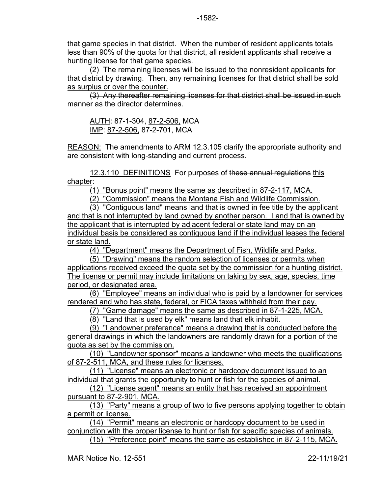that game species in that district. When the number of resident applicants totals less than 90% of the quota for that district, all resident applicants shall receive a hunting license for that game species.

(2) The remaining licenses will be issued to the nonresident applicants for that district by drawing. Then, any remaining licenses for that district shall be sold as surplus or over the counter.

(3) Any thereafter remaining licenses for that district shall be issued in such manner as the director determines.

AUTH: 87-1-304, 87-2-506, MCA IMP: 87-2-506, 87-2-701, MCA

REASON: The amendments to ARM 12.3.105 clarify the appropriate authority and are consistent with long-standing and current process.

12.3.110 DEFINITIONS For purposes of these annual regulations this chapter:

(1) "Bonus point" means the same as described in 87-2-117, MCA.

(2) "Commission" means the Montana Fish and Wildlife Commission.

(3) "Contiguous land" means land that is owned in fee title by the applicant and that is not interrupted by land owned by another person. Land that is owned by the applicant that is interrupted by adjacent federal or state land may on an individual basis be considered as contiguous land if the individual leases the federal or state land.

(4) "Department" means the Department of Fish, Wildlife and Parks.

(5) "Drawing" means the random selection of licenses or permits when applications received exceed the quota set by the commission for a hunting district. The license or permit may include limitations on taking by sex, age, species, time period, or designated area.

(6) "Employee" means an individual who is paid by a landowner for services rendered and who has state, federal, or FICA taxes withheld from their pay.

(7) "Game damage" means the same as described in 87-1-225, MCA.

(8) "Land that is used by elk" means land that elk inhabit.

(9) "Landowner preference" means a drawing that is conducted before the general drawings in which the landowners are randomly drawn for a portion of the quota as set by the commission.

(10) "Landowner sponsor" means a landowner who meets the qualifications of 87-2-511, MCA, and these rules for licenses.

(11) "License" means an electronic or hardcopy document issued to an individual that grants the opportunity to hunt or fish for the species of animal.

(12) "License agent" means an entity that has received an appointment pursuant to 87-2-901, MCA.

(13) "Party" means a group of two to five persons applying together to obtain a permit or license.

(14) "Permit" means an electronic or hardcopy document to be used in conjunction with the proper license to hunt or fish for specific species of animals. (15) "Preference point" means the same as established in 87-2-115, MCA.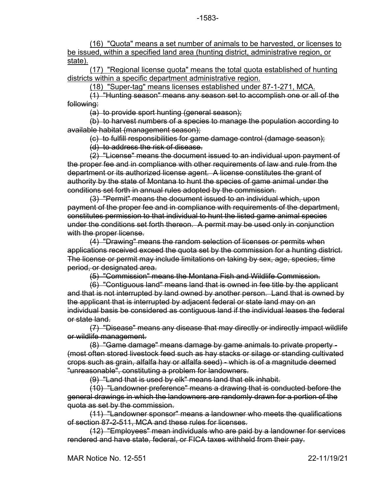(16) "Quota" means a set number of animals to be harvested, or licenses to be issued, within a specified land area (hunting district, administrative region, or state).

(17) "Regional license quota" means the total quota established of hunting districts within a specific department administrative region.

(18) "Super-tag" means licenses established under 87-1-271, MCA.

(1) "Hunting season" means any season set to accomplish one or all of the following:

(a) to provide sport hunting (general season);

(b) to harvest numbers of a species to manage the population according to available habitat (management season);

(c) to fulfill responsibilities for game damage control (damage season);

(d) to address the risk of disease.

(2) "License" means the document issued to an individual upon payment of the proper fee and in compliance with other requirements of law and rule from the department or its authorized license agent. A license constitutes the grant of authority by the state of Montana to hunt the species of game animal under the conditions set forth in annual rules adopted by the commission.

(3) "Permit" means the document issued to an individual which, upon payment of the proper fee and in compliance with requirements of the department, constitutes permission to that individual to hunt the listed game animal species under the conditions set forth thereon. A permit may be used only in conjunction with the proper license.

(4) "Drawing" means the random selection of licenses or permits when applications received exceed the quota set by the commission for a hunting district. The license or permit may include limitations on taking by sex, age, species, time period, or designated area.

(5) "Commission" means the Montana Fish and Wildlife Commission.

(6) "Contiguous land" means land that is owned in fee title by the applicant and that is not interrupted by land owned by another person. Land that is owned by the applicant that is interrupted by adjacent federal or state land may on an individual basis be considered as contiguous land if the individual leases the federal or state land.

(7) "Disease" means any disease that may directly or indirectly impact wildlife or wildlife management.

(8) "Game damage" means damage by game animals to private property - (most often stored livestock feed such as hay stacks or silage or standing cultivated crops such as grain, alfalfa hay or alfalfa seed) - which is of a magnitude deemed "unreasonable", constituting a problem for landowners.

(9) "Land that is used by elk" means land that elk inhabit.

(10) "Landowner preference" means a drawing that is conducted before the general drawings in which the landowners are randomly drawn for a portion of the quota as set by the commission.

(11) "Landowner sponsor" means a landowner who meets the qualifications of section 87-2-511, MCA and these rules for licenses.

(12) "Employees" mean individuals who are paid by a landowner for services rendered and have state, federal, or FICA taxes withheld from their pay.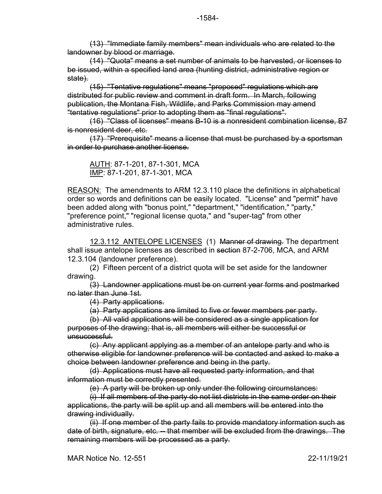(13) "Immediate family members" mean individuals who are related to the landowner by blood or marriage.

(14) "Quota" means a set number of animals to be harvested, or licenses to be issued, within a specified land area (hunting district, administrative region or state).

(15) "Tentative regulations" means "proposed" regulations which are distributed for public review and comment in draft form. In March, following publication, the Montana Fish, Wildlife, and Parks Commission may amend "tentative regulations" prior to adopting them as "final regulations".

(16) "Class of licenses" means B-10 is a nonresident combination license, B7 is nonresident deer, etc.

(17) "Prerequisite" means a license that must be purchased by a sportsman in order to purchase another license.

AUTH: 87-1-201, 87-1-301, MCA IMP: 87-1-201, 87-1-301, MCA

REASON: The amendments to ARM 12.3.110 place the definitions in alphabetical order so words and definitions can be easily located. "License" and "permit" have been added along with "bonus point," "department," "identification," "party," "preference point," "regional license quota," and "super-tag" from other administrative rules.

12.3.112 ANTELOPE LICENSES (1) Manner of drawing. The department shall issue antelope licenses as described in section 87-2-706, MCA, and ARM 12.3.104 (landowner preference).

(2) Fifteen percent of a district quota will be set aside for the landowner drawing.

(3) Landowner applications must be on current year forms and postmarked no later than June 1st.

(4) Party applications.

(a) Party applications are limited to five or fewer members per party.

(b) All valid applications will be considered as a single application for purposes of the drawing; that is, all members will either be successful or unsuccessful.

(c) Any applicant applying as a member of an antelope party and who is otherwise eligible for landowner preference will be contacted and asked to make a choice between landowner preference and being in the party.

(d) Applications must have all requested party information, and that information must be correctly presented.

(e) A party will be broken up only under the following circumstances:

(i) If all members of the party do not list districts in the same order on their applications, the party will be split up and all members will be entered into the drawing individually.

(ii) If one member of the party fails to provide mandatory information such as date of birth, signature, etc. -- that member will be excluded from the drawings. The remaining members will be processed as a party.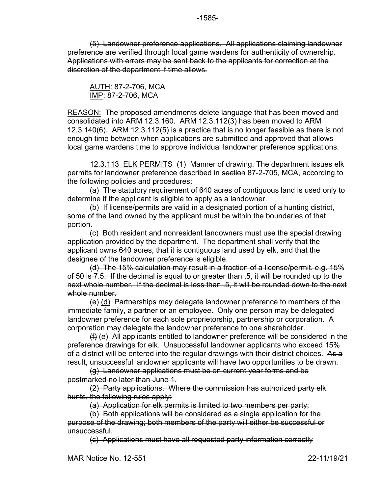(5) Landowner preference applications. All applications claiming landowner preference are verified through local game wardens for authenticity of ownership. Applications with errors may be sent back to the applicants for correction at the discretion of the department if time allows.

AUTH: 87-2-706, MCA IMP: 87-2-706, MCA

REASON: The proposed amendments delete language that has been moved and consolidated into ARM 12.3.160. ARM 12.3.112(3) has been moved to ARM 12.3.140(6). ARM 12.3.112(5) is a practice that is no longer feasible as there is not enough time between when applications are submitted and approved that allows local game wardens time to approve individual landowner preference applications.

12.3.113 ELK PERMITS (1) Manner of drawing. The department issues elk permits for landowner preference described in section 87-2-705, MCA, according to the following policies and procedures:

(a) The statutory requirement of 640 acres of contiguous land is used only to determine if the applicant is eligible to apply as a landowner.

(b) If license/permits are valid in a designated portion of a hunting district, some of the land owned by the applicant must be within the boundaries of that portion.

(c) Both resident and nonresident landowners must use the special drawing application provided by the department. The department shall verify that the applicant owns 640 acres, that it is contiguous land used by elk, and that the designee of the landowner preference is eligible.

(d) The 15% calculation may result in a fraction of a license/permit. e.g. 15% of 50 is 7.5. If the decimal is equal to or greater than .5, it will be rounded up to the next whole number. If the decimal is less than .5, it will be rounded down to the next whole number.

 $\left(\theta\right)$  (d) Partnerships may delegate landowner preference to members of the immediate family, a partner or an employee. Only one person may be delegated landowner preference for each sole proprietorship, partnership or corporation. A corporation may delegate the landowner preference to one shareholder.

(f) (e) All applicants entitled to landowner preference will be considered in the preference drawings for elk. Unsuccessful landowner applicants who exceed 15% of a district will be entered into the regular drawings with their district choices. As a result, unsuccessful landowner applicants will have two opportunities to be drawn.

(g) Landowner applications must be on current year forms and be postmarked no later than June 1.

(2) Party applications. Where the commission has authorized party elk hunts, the following rules apply:

(a) Application for elk permits is limited to two members per party;

(b) Both applications will be considered as a single application for the purpose of the drawing; both members of the party will either be successful or unsuccessful.

(c) Applications must have all requested party information correctly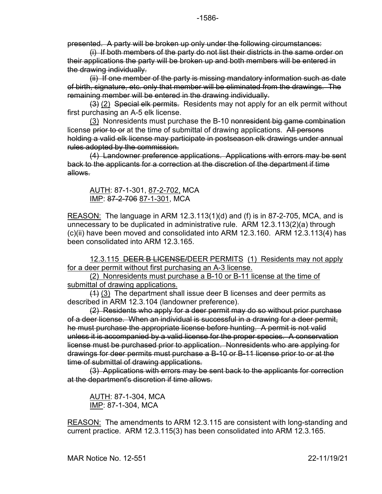presented. A party will be broken up only under the following circumstances:

(i) If both members of the party do not list their districts in the same order on their applications the party will be broken up and both members will be entered in the drawing individually.

(ii) If one member of the party is missing mandatory information such as date of birth, signature, etc. only that member will be eliminated from the drawings. The remaining member will be entered in the drawing individually.

(3) (2) Special elk permits. Residents may not apply for an elk permit without first purchasing an A-5 elk license.

(3) Nonresidents must purchase the B-10 nonresident big game combination license prior to or at the time of submittal of drawing applications. All persons holding a valid elk license may participate in postseason elk drawings under annual rules adopted by the commission.

(4) Landowner preference applications. Applications with errors may be sent back to the applicants for a correction at the discretion of the department if time allows.

## AUTH: 87-1-301, 87-2-702, MCA IMP: 87-2-706 87-1-301, MCA

REASON: The language in ARM 12.3.113(1)(d) and (f) is in 87-2-705, MCA, and is unnecessary to be duplicated in administrative rule. ARM 12.3.113(2)(a) through (c)(ii) have been moved and consolidated into ARM 12.3.160. ARM 12.3.113(4) has been consolidated into ARM 12.3.165.

12.3.115 DEER B LICENSE/DEER PERMITS (1) Residents may not apply for a deer permit without first purchasing an A-3 license.

(2) Nonresidents must purchase a B-10 or B-11 license at the time of submittal of drawing applications.

 $(1)$  (3) The department shall issue deer B licenses and deer permits as described in ARM 12.3.104 (landowner preference).

(2) Residents who apply for a deer permit may do so without prior purchase of a deer license. When an individual is successful in a drawing for a deer permit, he must purchase the appropriate license before hunting. A permit is not valid unless it is accompanied by a valid license for the proper species. A conservation license must be purchased prior to application. Nonresidents who are applying for drawings for deer permits must purchase a B-10 or B-11 license prior to or at the time of submittal of drawing applications.

(3) Applications with errors may be sent back to the applicants for correction at the department's discretion if time allows.

AUTH: 87-1-304, MCA IMP: 87-1-304, MCA

REASON: The amendments to ARM 12.3.115 are consistent with long-standing and current practice. ARM 12.3.115(3) has been consolidated into ARM 12.3.165.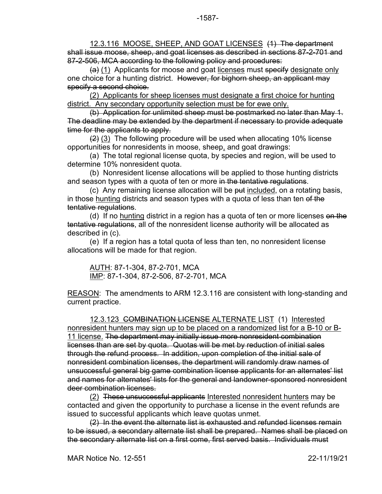12.3.116 MOOSE, SHEEP, AND GOAT LICENSES (1) The department shall issue moose, sheep, and goat licenses as described in sections 87-2-701 and 87-2-506, MCA according to the following policy and procedures:

(a) (1) Applicants for moose and goat licenses must specify designate only one choice for a hunting district. However, for bighorn sheep, an applicant may specify a second choice.

(2) Applicants for sheep licenses must designate a first choice for hunting district. Any secondary opportunity selection must be for ewe only.

(b) Application for unlimited sheep must be postmarked no later than May 1. The deadline may be extended by the department if necessary to provide adequate time for the applicants to apply.

(2) (3) The following procedure will be used when allocating 10% license opportunities for nonresidents in moose, sheep, and goat drawings:

(a) The total regional license quota, by species and region, will be used to determine 10% nonresident quota.

(b) Nonresident license allocations will be applied to those hunting districts and season types with a quota of ten or more in the tentative regulations.

(c) Any remaining license allocation will be put included, on a rotating basis, in those hunting districts and season types with a quota of less than ten of the tentative regulations.

(d) If no hunting district in a region has a quota of ten or more licenses on the tentative regulations, all of the nonresident license authority will be allocated as described in (c).

(e) If a region has a total quota of less than ten, no nonresident license allocations will be made for that region.

AUTH: 87-1-304, 87-2-701, MCA IMP: 87-1-304, 87-2-506, 87-2-701, MCA

REASON: The amendments to ARM 12.3.116 are consistent with long-standing and current practice.

12.3.123 COMBINATION LICENSE ALTERNATE LIST (1) Interested nonresident hunters may sign up to be placed on a randomized list for a B-10 or B-11 license. The department may initially issue more nonresident combination licenses than are set by quota. Quotas will be met by reduction of initial sales through the refund process. In addition, upon completion of the initial sale of nonresident combination licenses, the department will randomly draw names of unsuccessful general big game combination license applicants for an alternates' list and names for alternates' lists for the general and landowner-sponsored nonresident deer combination licenses.

(2) These unsuccessful applicants Interested nonresident hunters may be contacted and given the opportunity to purchase a license in the event refunds are issued to successful applicants which leave quotas unmet.

(2) In the event the alternate list is exhausted and refunded licenses remain to be issued, a secondary alternate list shall be prepared. Names shall be placed on the secondary alternate list on a first come, first served basis. Individuals must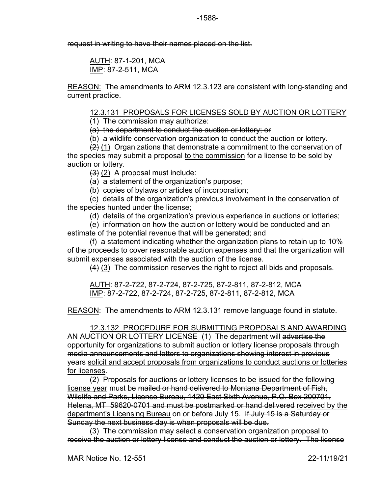request in writing to have their names placed on the list.

AUTH: 87-1-201, MCA IMP: 87-2-511, MCA

REASON: The amendments to ARM 12.3.123 are consistent with long-standing and current practice.

12.3.131 PROPOSALS FOR LICENSES SOLD BY AUCTION OR LOTTERY

(1) The commission may authorize:

(a) the department to conduct the auction or lottery; or

(b) a wildlife conservation organization to conduct the auction or lottery.

 $(2)$  (1) Organizations that demonstrate a commitment to the conservation of the species may submit a proposal to the commission for a license to be sold by auction or lottery.

 $(3)$  (2) A proposal must include:

(a) a statement of the organization's purpose;

(b) copies of bylaws or articles of incorporation;

(c) details of the organization's previous involvement in the conservation of the species hunted under the license;

(d) details of the organization's previous experience in auctions or lotteries;

(e) information on how the auction or lottery would be conducted and an estimate of the potential revenue that will be generated; and

(f) a statement indicating whether the organization plans to retain up to 10% of the proceeds to cover reasonable auction expenses and that the organization will submit expenses associated with the auction of the license.

(4) (3) The commission reserves the right to reject all bids and proposals.

AUTH: 87-2-722, 87-2-724, 87-2-725, 87-2-811, 87-2-812, MCA IMP: 87-2-722, 87-2-724, 87-2-725, 87-2-811, 87-2-812, MCA

REASON: The amendments to ARM 12.3.131 remove language found in statute.

12.3.132 PROCEDURE FOR SUBMITTING PROPOSALS AND AWARDING AN AUCTION OR LOTTERY LICENSE (1) The department will advertise the opportunity for organizations to submit auction or lottery license proposals through media announcements and letters to organizations showing interest in previous **years** solicit and accept proposals from organizations to conduct auctions or lotteries

for licenses.

(2) Proposals for auctions or lottery licenses to be issued for the following license year must be <del>mailed or hand delivered to Montana Department of Fish,</del> Wildlife and Parks, License Bureau, 1420 East Sixth Avenue, P.O. Box 200701, Helena, MT 59620-0701 and must be postmarked or hand delivered received by the department's Licensing Bureau on or before July 15. If July 15 is a Saturday or Sunday the next business day is when proposals will be due.

(3) The commission may select a conservation organization proposal to receive the auction or lottery license and conduct the auction or lottery. The license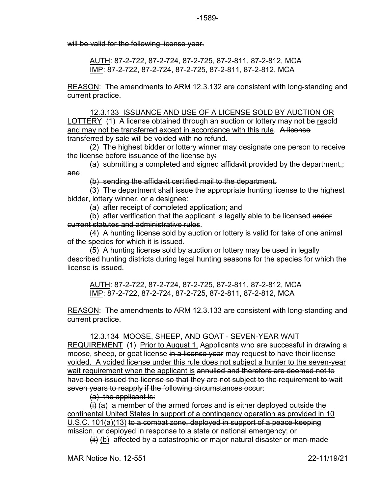will be valid for the following license year.

AUTH: 87-2-722, 87-2-724, 87-2-725, 87-2-811, 87-2-812, MCA IMP: 87-2-722, 87-2-724, 87-2-725, 87-2-811, 87-2-812, MCA

REASON: The amendments to ARM 12.3.132 are consistent with long-standing and current practice.

12.3.133 ISSUANCE AND USE OF A LICENSE SOLD BY AUCTION OR LOTTERY (1) A license obtained through an auction or lottery may not be resold and may not be transferred except in accordance with this rule. A license transferred by sale will be voided with no refund.

(2) The highest bidder or lottery winner may designate one person to receive the license before issuance of the license by:

 $(a)$  submitting a completed and signed affidavit provided by the department.; and

(b) sending the affidavit certified mail to the department.

(3) The department shall issue the appropriate hunting license to the highest bidder, lottery winner, or a designee:

(a) after receipt of completed application; and

(b) after verification that the applicant is legally able to be licensed under current statutes and administrative rules.

(4) A hunting license sold by auction or lottery is valid for take of one animal of the species for which it is issued.

(5) A hunting license sold by auction or lottery may be used in legally described hunting districts during legal hunting seasons for the species for which the license is issued.

AUTH: 87-2-722, 87-2-724, 87-2-725, 87-2-811, 87-2-812, MCA IMP: 87-2-722, 87-2-724, 87-2-725, 87-2-811, 87-2-812, MCA

REASON: The amendments to ARM 12.3.133 are consistent with long-standing and current practice.

## 12.3.134 MOOSE, SHEEP, AND GOAT - SEVEN-YEAR WAIT

REQUIREMENT (1) Prior to August 1, Aapplicants who are successful in drawing a moose, sheep, or goat license in a license year may request to have their license voided. A voided license under this rule does not subject a hunter to the seven-year wait requirement when the applicant is annulled and therefore are deemed not to have been issued the license so that they are not subject to the requirement to wait seven years to reapply if the following circumstances occur:

(a) the applicant is:

 $\left(\frac{1}{1}\right)$  (a) a member of the armed forces and is either deployed outside the continental United States in support of a contingency operation as provided in 10 U.S.C. 101(a)(13) to a combat zone, deployed in support of a peace-keeping mission, or deployed in response to a state or national emergency; or

 $\overline{f}$  (b) affected by a catastrophic or major natural disaster or man-made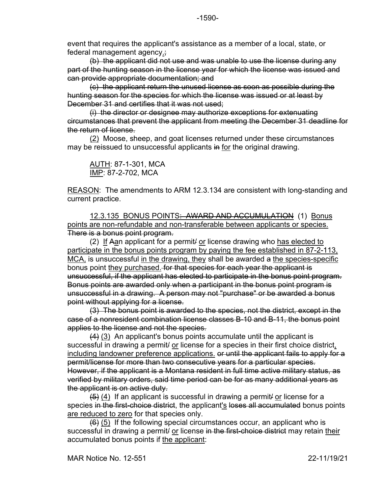event that requires the applicant's assistance as a member of a local, state, or federal management agency.;

(b) the applicant did not use and was unable to use the license during any part of the hunting season in the license year for which the license was issued and can provide appropriate documentation; and

(c) the applicant return the unused license as soon as possible during the hunting season for the species for which the license was issued or at least by December 31 and certifies that it was not used;

(i) the director or designee may authorize exceptions for extenuating circumstances that prevent the applicant from meeting the December 31 deadline for the return of license.

(2) Moose, sheep, and goat licenses returned under these circumstances may be reissued to unsuccessful applicants in for the original drawing.

<u>AUTH</u>: 87-1-301, MCA IMP: 87-2-702, MCA

REASON: The amendments to ARM 12.3.134 are consistent with long-standing and current practice.

12.3.135 BONUS POINTS: AWARD AND ACCUMULATION (1) Bonus points are non-refundable and non-transferable between applicants or species. There is a bonus point program.

(2) If Aan applicant for a permit/ or license drawing who has elected to participate in the bonus points program by paying the fee established in 87-2-113, MCA, is unsuccessful in the drawing, they shall be awarded a the species-specific bonus point they purchased. for that species for each year the applicant is unsuccessful, if the applicant has elected to participate in the bonus point program. Bonus points are awarded only when a participant in the bonus point program is unsuccessful in a drawing. A person may not "purchase" or be awarded a bonus point without applying for a license.

(3) The bonus point is awarded to the species, not the district, except in the case of a nonresident combination license classes B-10 and B-11, the bonus point applies to the license and not the species.

 $(4)$  (3) An applicant's bonus points accumulate until the applicant is successful in drawing a permit/ or license for a species in their first choice district, including landowner preference applications. <del>or until the applicant fails to apply for a</del> permit/license for more than two consecutive years for a particular species. However, if the applicant is a Montana resident in full time active military status, as verified by military orders, said time period can be for as many additional years as the applicant is on active duty.

 $(4)$  If an applicant is successful in drawing a permit or license for a species in the first-choice district, the applicant's loses all accumulated bonus points are reduced to zero for that species only.

(6) (5) If the following special circumstances occur, an applicant who is successful in drawing a permit/ or license in the first-choice district may retain their accumulated bonus points if the applicant: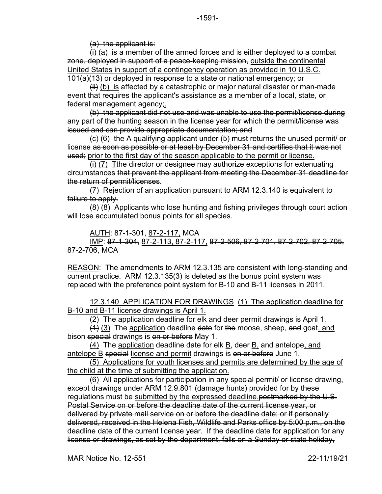(a) the applicant is:

 $\left(\frac{1}{1}\right)$  (a) is a member of the armed forces and is either deployed to a combat zone, deployed in support of a peace-keeping mission, outside the continental United States in support of a contingency operation as provided in 10 U.S.C. 101(a)(13) or deployed in response to a state or national emergency; or

 $\overline{f}$  (b) is affected by a catastrophic or major natural disaster or man-made event that requires the applicant's assistance as a member of a local, state, or federal management agency;

(b) the applicant did not use and was unable to use the permit/license during any part of the hunting season in the license year for which the permit/license was issued and can provide appropriate documentation; and

 $\left(\frac{1}{10}\right)$  (6) the A qualifying applicant under (5) must returns the unused permit/ or license as soon as possible or at least by December 31 and certifies that it was not used; prior to the first day of the season applicable to the permit or license.

 $\overline{H}(i)$  (7) Tthe director or designee may authorize exceptions for extenuating circumstances that prevent the applicant from meeting the December 31 deadline for the return of permit/licenses.

(7) Rejection of an application pursuant to ARM 12.3.140 is equivalent to failure to apply.

 $(8)$   $(8)$  Applicants who lose hunting and fishing privileges through court action will lose accumulated bonus points for all species.

AUTH: 87-1-301, 87-2-117, MCA

IMP: 87-1-304, 87-2-113, 87-2-117, 87-2-506, 87-2-701, 87-2-702, 87-2-705, 87-2-706, MCA

REASON: The amendments to ARM 12.3.135 are consistent with long-standing and current practice. ARM 12.3.135(3) is deleted as the bonus point system was replaced with the preference point system for B-10 and B-11 licenses in 2011.

12.3.140 APPLICATION FOR DRAWINGS (1) The application deadline for B-10 and B-11 license drawings is April 1.

(2) The application deadline for elk and deer permit drawings is April 1.

(1) (3) The application deadline date for the moose, sheep, and goat, and bison special drawings is on or before May 1.

(4) The application deadline date for elk B, deer B, and antelope, and antelope B special license and permit drawings is on or before June 1.

(5) Applications for youth licenses and permits are determined by the age of the child at the time of submitting the application.

(6) All applications for participation in any special permit or license drawing, except drawings under ARM 12.9.801 (damage hunts) provided for by these regulations must be submitted by the expressed deadline. postmarked by the U.S. Postal Service on or before the deadline date of the current license year, or delivered by private mail service on or before the deadline date; or if personally delivered, received in the Helena Fish, Wildlife and Parks office by 5:00 p.m., on the deadline date of the current license year. If the deadline date for application for any license or drawings, as set by the department, falls on a Sunday or state holiday,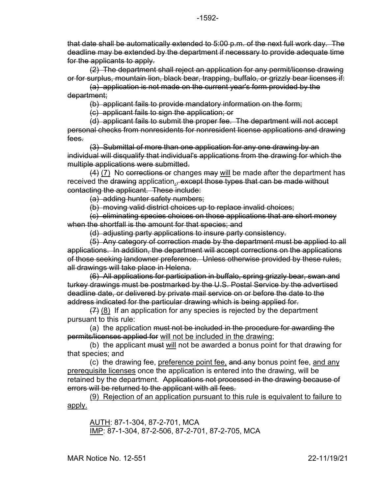that date shall be automatically extended to 5:00 p.m. of the next full work day. The deadline may be extended by the department if necessary to provide adequate time for the applicants to apply.

(2) The department shall reject an application for any permit/license drawing or for surplus, mountain lion, black bear, trapping, buffalo, or grizzly bear licenses if:

(a) application is not made on the current year's form provided by the department;

(b) applicant fails to provide mandatory information on the form;

(c) applicant fails to sign the application; or

(d) applicant fails to submit the proper fee. The department will not accept personal checks from nonresidents for nonresident license applications and drawing fees.

(3) Submittal of more than one application for any one drawing by an individual will disqualify that individual's applications from the drawing for which the multiple applications were submitted.

 $(4)$  (7) No corrections or changes may will be made after the department has received the drawing application., except those types that can be made without contacting the applicant. These include:

(a) adding hunter safety numbers;

(b) moving valid district choices up to replace invalid choices;

(c) eliminating species choices on those applications that are short money when the shortfall is the amount for that species; and

(d) adjusting party applications to insure party consistency.

(5) Any category of correction made by the department must be applied to all applications. In addition, the department will accept corrections on the applications of those seeking landowner preference. Unless otherwise provided by these rules, all drawings will take place in Helena.

(6) All applications for participation in buffalo, spring grizzly bear, swan and turkey drawings must be postmarked by the U.S. Postal Service by the advertised deadline date, or delivered by private mail service on or before the date to the address indicated for the particular drawing which is being applied for.

 $(7)$  (8) If an application for any species is rejected by the department pursuant to this rule:

(a) the application must not be included in the procedure for awarding the permits/licenses applied for will not be included in the drawing;

(b) the applicant must will not be awarded a bonus point for that drawing for that species; and

(c) the drawing fee, preference point fee, and any bonus point fee, and any prerequisite licenses once the application is entered into the drawing, will be retained by the department. Applications not processed in the drawing because of errors will be returned to the applicant with all fees.

(9) Rejection of an application pursuant to this rule is equivalent to failure to apply.

AUTH: 87-1-304, 87-2-701, MCA IMP: 87-1-304, 87-2-506, 87-2-701, 87-2-705, MCA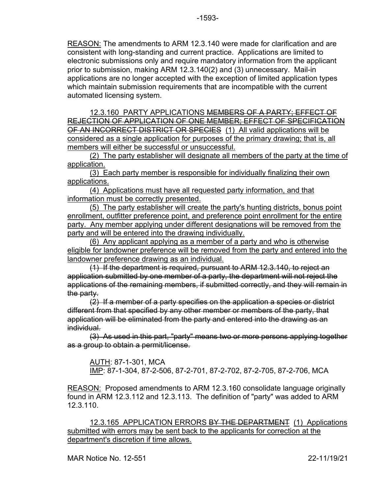REASON: The amendments to ARM 12.3.140 were made for clarification and are consistent with long-standing and current practice. Applications are limited to electronic submissions only and require mandatory information from the applicant prior to submission, making ARM 12.3.140(2) and (3) unnecessary. Mail-in applications are no longer accepted with the exception of limited application types which maintain submission requirements that are incompatible with the current automated licensing system.

12.3.160 PARTY APPLICATIONS MEMBERS OF A PARTY; EFFECT OF REJECTION OF APPLICATION OF ONE MEMBER; EFFECT OF SPECIFICATION OF AN INCORRECT DISTRICT OR SPECIES (1) All valid applications will be considered as a single application for purposes of the primary drawing; that is, all members will either be successful or unsuccessful.

(2) The party establisher will designate all members of the party at the time of application.

(3) Each party member is responsible for individually finalizing their own applications.

(4) Applications must have all requested party information, and that information must be correctly presented.

(5) The party establisher will create the party's hunting districts, bonus point enrollment, outfitter preference point, and preference point enrollment for the entire party. Any member applying under different designations will be removed from the party and will be entered into the drawing individually.

(6) Any applicant applying as a member of a party and who is otherwise eligible for landowner preference will be removed from the party and entered into the landowner preference drawing as an individual.

(1) If the department is required, pursuant to ARM 12.3.140, to reject an application submitted by one member of a party, the department will not reject the applications of the remaining members, if submitted correctly, and they will remain in the party.

(2) If a member of a party specifies on the application a species or district different from that specified by any other member or members of the party, that application will be eliminated from the party and entered into the drawing as an individual.

(3) As used in this part, "party" means two or more persons applying together as a group to obtain a permit/license.

AUTH: 87-1-301, MCA IMP: 87-1-304, 87-2-506, 87-2-701, 87-2-702, 87-2-705, 87-2-706, MCA

REASON: Proposed amendments to ARM 12.3.160 consolidate language originally found in ARM 12.3.112 and 12.3.113. The definition of "party" was added to ARM 12.3.110.

12.3.165 APPLICATION ERRORS BY THE DEPARTMENT (1) Applications submitted with errors may be sent back to the applicants for correction at the department's discretion if time allows.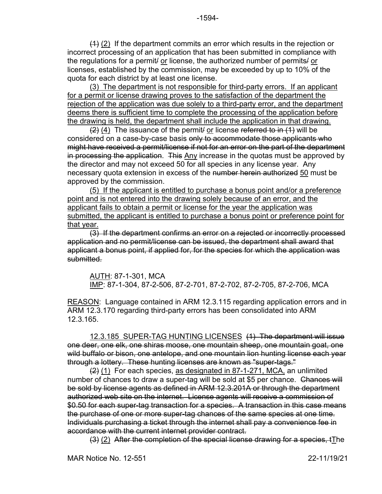(3) The department is not responsible for third-party errors. If an applicant for a permit or license drawing proves to the satisfaction of the department the rejection of the application was due solely to a third-party error, and the department deems there is sufficient time to complete the processing of the application before the drawing is held, the department shall include the application in that drawing.

 $(2)$  (4) The issuance of the permit/ or license referred to in (1) will be considered on a case-by-case basis only to accommodate those applicants who might have received a permit/license if not for an error on the part of the department in processing the application. This Any increase in the quotas must be approved by the director and may not exceed 50 for all species in any license year. Any necessary quota extension in excess of the number herein authorized 50 must be approved by the commission.

(5) If the applicant is entitled to purchase a bonus point and/or a preference point and is not entered into the drawing solely because of an error, and the applicant fails to obtain a permit or license for the year the application was submitted, the applicant is entitled to purchase a bonus point or preference point for that year.

(3) If the department confirms an error on a rejected or incorrectly processed application and no permit/license can be issued, the department shall award that applicant a bonus point, if applied for, for the species for which the application was submitted.

AUTH: 87-1-301, MCA IMP: 87-1-304, 87-2-506, 87-2-701, 87-2-702, 87-2-705, 87-2-706, MCA

REASON: Language contained in ARM 12.3.115 regarding application errors and in ARM 12.3.170 regarding third-party errors has been consolidated into ARM 12.3.165.

12.3.185 SUPER-TAG HUNTING LICENSES (1) The department will issue one deer, one elk, one shiras moose, one mountain sheep, one mountain goat, one wild buffalo or bison, one antelope, and one mountain lion hunting license each year through a lottery. These hunting licenses are known as "super-tags."

(2) (1) For each species, as designated in 87-1-271, MCA, an unlimited number of chances to draw a super-tag will be sold at \$5 per chance. Chances will be sold by license agents as defined in ARM 12.3.201A or through the department authorized web site on the internet. License agents will receive a commission of \$0.50 for each super-tag transaction for a species. A transaction in this case means the purchase of one or more super-tag chances of the same species at one time. Individuals purchasing a ticket through the internet shall pay a convenience fee in accordance with the current internet provider contract.

(3) (2) After the completion of the special license drawing for a species, tThe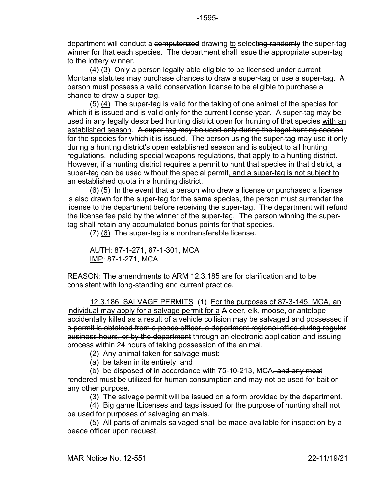department will conduct a computerized drawing to selecting randomly the super-tag winner for that each species. The department shall issue the appropriate super-tag to the lottery winner.

(4) (3) Only a person legally able eligible to be licensed under current Montana statutes may purchase chances to draw a super-tag or use a super-tag. A person must possess a valid conservation license to be eligible to purchase a chance to draw a super-tag.

 $(5)$  (4) The super-tag is valid for the taking of one animal of the species for which it is issued and is valid only for the current license year. A super-tag may be used in any legally described hunting district open for hunting of that species with an established season. A super-tag may be used only during the legal hunting season For the species for which it is issued. The person using the super-tag may use it only during a hunting district's open established season and is subject to all hunting regulations, including special weapons regulations, that apply to a hunting district. However, if a hunting district requires a permit to hunt that species in that district, a super-tag can be used without the special permit, and a super-tag is not subject to an established quota in a hunting district.

 $(6)$  (5) In the event that a person who drew a license or purchased a license is also drawn for the super-tag for the same species, the person must surrender the license to the department before receiving the super-tag. The department will refund the license fee paid by the winner of the super-tag. The person winning the supertag shall retain any accumulated bonus points for that species.

 $(7)$  (6) The super-tag is a nontransferable license.

AUTH: 87-1-271, 87-1-301, MCA IMP: 87-1-271, MCA

REASON: The amendments to ARM 12.3.185 are for clarification and to be consistent with long-standing and current practice.

12.3.186 SALVAGE PERMITS (1) For the purposes of 87-3-145, MCA, an individual may apply for a salvage permit for a A deer, elk, moose, or antelope accidentally killed as a result of a vehicle collision may be salvaged and possessed if a permit is obtained from a peace officer, a department regional office during regular business hours, or by the department through an electronic application and issuing process within 24 hours of taking possession of the animal.

(2) Any animal taken for salvage must:

(a) be taken in its entirety; and

(b) be disposed of in accordance with 75-10-213, MCA, and any meat rendered must be utilized for human consumption and may not be used for bait or any other purpose.

(3) The salvage permit will be issued on a form provided by the department.

(4) Big game lLicenses and tags issued for the purpose of hunting shall not be used for purposes of salvaging animals.

(5) All parts of animals salvaged shall be made available for inspection by a peace officer upon request.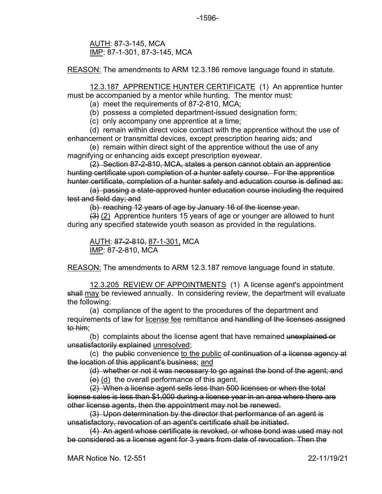AUTH: 87-3-145, MCA IMP: 87-1-301, 87-3-145, MCA

REASON: The amendments to ARM 12.3.186 remove language found in statute.

12.3.187 APPRENTICE HUNTER CERTIFICATE (1) An apprentice hunter must be accompanied by a mentor while hunting. The mentor must:

(a) meet the requirements of 87-2-810, MCA;

(b) possess a completed department-issued designation form;

(c) only accompany one apprentice at a time;

(d) remain within direct voice contact with the apprentice without the use of enhancement or transmittal devices, except prescription hearing aids; and

(e) remain within direct sight of the apprentice without the use of any magnifying or enhancing aids except prescription eyewear.

(2) Section 87-2-810, MCA, states a person cannot obtain an apprentice hunting certificate upon completion of a hunter safety course. For the apprentice hunter certificate, completion of a hunter safety and education course is defined as:

(a) passing a state-approved hunter education course including the required test and field day; and

(b) reaching 12 years of age by January 16 of the license year.

 $(3)$  (2) Apprentice hunters 15 years of age or younger are allowed to hunt during any specified statewide youth season as provided in the regulations.

AUTH: 87-2-810, 87-1-301, MCA IMP: 87-2-810, MCA

REASON: The amendments to ARM 12.3.187 remove language found in statute.

12.3.205 REVIEW OF APPOINTMENTS (1) A license agent's appointment shall may be reviewed annually. In considering review, the department will evaluate the following:

(a) compliance of the agent to the procedures of the department and requirements of law for license fee remittance and handling of the licenses assigned to him;

(b) complaints about the license agent that have remained unexplained or unsatisfactorily explained unresolved;

(c) the public convenience to the public of continuation of a license agency at the location of this applicant's business; and

(d) whether or not it was necessary to go against the bond of the agent; and

 $(e)$  (d) the overall performance of this agent.

(2) When a license agent sells less than 500 licenses or when the total license sales is less than \$1,000 during a license year in an area where there are other license agents, then the appointment may not be renewed.

(3) Upon determination by the director that performance of an agent is unsatisfactory, revocation of an agent's certificate shall be initiated.

(4) An agent whose certificate is revoked, or whose bond was used may not be considered as a license agent for 3 years from date of revocation. Then the

MAR Notice No. 12-551 22-11/19/21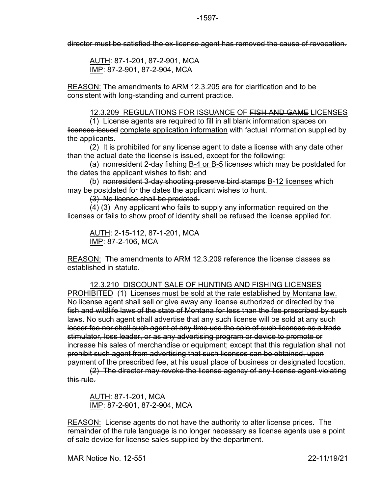director must be satisfied the ex-license agent has removed the cause of revocation.

AUTH: 87-1-201, 87-2-901, MCA IMP: 87-2-901, 87-2-904, MCA

REASON: The amendments to ARM 12.3.205 are for clarification and to be consistent with long-standing and current practice.

12.3.209 REGULATIONS FOR ISSUANCE OF FISH AND GAME LICENSES

(1) License agents are required to fill in all blank information spaces on licenses issued complete application information with factual information supplied by the applicants.

(2) It is prohibited for any license agent to date a license with any date other than the actual date the license is issued, except for the following:

(a) nonresident 2-day fishing B-4 or B-5 licenses which may be postdated for the dates the applicant wishes to fish; and

(b) nonresident 3-day shooting preserve bird stamps B-12 licenses which may be postdated for the dates the applicant wishes to hunt.

(3) No license shall be predated.

 $(4)$  (3) Any applicant who fails to supply any information required on the licenses or fails to show proof of identity shall be refused the license applied for.

AUTH: 2-15-112, 87-1-201, MCA IMP: 87-2-106, MCA

REASON: The amendments to ARM 12.3.209 reference the license classes as established in statute.

12.3.210 DISCOUNT SALE OF HUNTING AND FISHING LICENSES PROHIBITED (1) Licenses must be sold at the rate established by Montana law. No license agent shall sell or give away any license authorized or directed by the fish and wildlife laws of the state of Montana for less than the fee prescribed by such laws. No such agent shall advertise that any such license will be sold at any such lesser fee nor shall such agent at any time use the sale of such licenses as a trade stimulator, loss leader, or as any advertising program or device to promote or increase his sales of merchandise or equipment; except that this regulation shall not prohibit such agent from advertising that such licenses can be obtained, upon payment of the prescribed fee, at his usual place of business or designated location.

(2) The director may revoke the license agency of any license agent violating this rule.

AUTH: 87-1-201, MCA IMP: 87-2-901, 87-2-904, MCA

REASON: License agents do not have the authority to alter license prices. The remainder of the rule language is no longer necessary as license agents use a point of sale device for license sales supplied by the department.

MAR Notice No. 12-551 22-11/19/21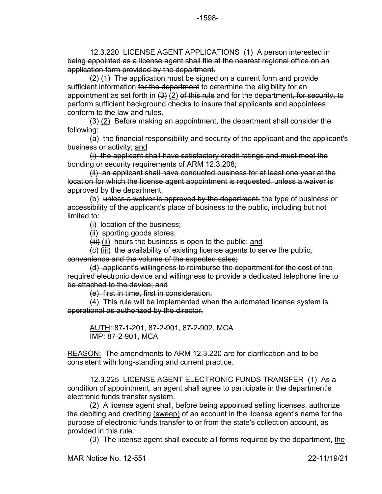12.3.220 LICENSE AGENT APPLICATIONS (1) A person interested in being appointed as a license agent shall file at the nearest regional office on an application form provided by the department.

 $(2)$  (1) The application must be signed on a current form and provide sufficient information for the department to determine the eligibility for an appointment as set forth in  $(3)$  (2) of this rule and for the department, for security, to perform sufficient background checks to insure that applicants and appointees conform to the law and rules.

 $(3)$  (2) Before making an appointment, the department shall consider the following:

(a) the financial responsibility and security of the applicant and the applicant's business or activity; and

(i) the applicant shall have satisfactory credit ratings and must meet the bonding or security requirements of ARM 12.3.208;

(ii) an applicant shall have conducted business for at least one year at the location for which the license agent appointment is requested, unless a waiver is approved by the department;

(b) unless a waiver is approved by the department, the type of business or accessibility of the applicant's place of business to the public, including but not limited to:

(i) location of the business;

(ii) sporting goods stores;

 $(iii)$  (ii) hours the business is open to the public; and

 $\left(\frac{c}{c}\right)$  (iii) the availability of existing license agents to serve the public. convenience and the volume of the expected sales;

(d) applicant's willingness to reimburse the department for the cost of the required electronic device and willingness to provide a dedicated telephone line to be attached to the device; and

(e) first in time, first in consideration.

(4) This rule will be implemented when the automated license system is operational as authorized by the director.

AUTH: 87-1-201, 87-2-901, 87-2-902, MCA IMP: 87-2-901, MCA

REASON: The amendments to ARM 12.3.220 are for clarification and to be consistent with long-standing and current practice.

12.3.225 LICENSE AGENT ELECTRONIC FUNDS TRANSFER (1) As a condition of appointment, an agent shall agree to participate in the department's electronic funds transfer system.

(2) A license agent shall, before being appointed selling licenses, authorize the debiting and crediting (sweep) of an account in the license agent's name for the purpose of electronic funds transfer to or from the state's collection account, as provided in this rule.

(3) The license agent shall execute all forms required by the department, the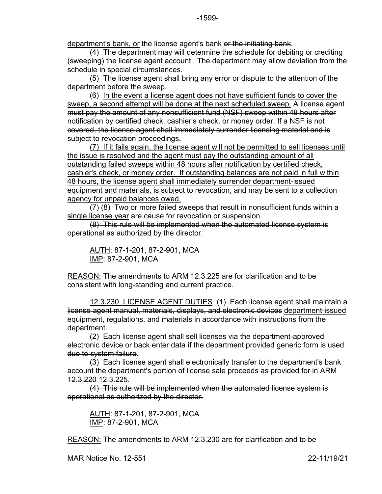department's bank, or the license agent's bank or the initiating bank.

 $(4)$  The department  $\overline{\text{max}}$  will determine the schedule for debiting or crediting (sweeping) the license agent account. The department may allow deviation from the schedule in special circumstances.

(5) The license agent shall bring any error or dispute to the attention of the department before the sweep.

(6) In the event a license agent does not have sufficient funds to cover the sweep, a second attempt will be done at the next scheduled sweep. A license agent must pay the amount of any nonsufficient fund (NSF) sweep within 48 hours after notification by certified check, cashier's check, or money order. If a NSF is not covered, the license agent shall immediately surrender licensing material and is subject to revocation proceedings.

(7) If it fails again, the license agent will not be permitted to sell licenses until the issue is resolved and the agent must pay the outstanding amount of all outstanding failed sweeps within 48 hours after notification by certified check, cashier's check, or money order. If outstanding balances are not paid in full within 48 hours, the license agent shall immediately surrender department-issued equipment and materials, is subject to revocation, and may be sent to a collection agency for unpaid balances owed.

 $(7)$  (8) Two or more failed sweeps that result in nonsufficient funds within a single license year are cause for revocation or suspension.

(8) This rule will be implemented when the automated license system is operational as authorized by the director.

AUTH: 87-1-201, 87-2-901, MCA IMP: 87-2-901, MCA

REASON: The amendments to ARM 12.3.225 are for clarification and to be consistent with long-standing and current practice.

12.3.230 LICENSE AGENT DUTIES (1) Each license agent shall maintain a license agent manual, materials, displays, and electronic devices department-issued equipment, regulations, and materials in accordance with instructions from the department.

(2) Each license agent shall sell licenses via the department-approved electronic device or back enter data if the department provided generic form is used due to system failure.

(3) Each license agent shall electronically transfer to the department's bank account the department's portion of license sale proceeds as provided for in ARM 12.3.220 12.3.225.

(4) This rule will be implemented when the automated license system is operational as authorized by the director.

AUTH: 87-1-201, 87-2-901, MCA IMP: 87-2-901, MCA

REASON: The amendments to ARM 12.3.230 are for clarification and to be

MAR Notice No. 12-551 22-11/19/21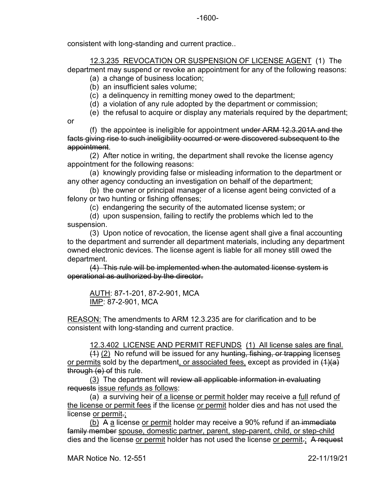consistent with long-standing and current practice..

12.3.235 REVOCATION OR SUSPENSION OF LICENSE AGENT (1) The department may suspend or revoke an appointment for any of the following reasons:

- (a) a change of business location;
- (b) an insufficient sales volume;
- (c) a delinquency in remitting money owed to the department;
- (d) a violation of any rule adopted by the department or commission;
- (e) the refusal to acquire or display any materials required by the department;

or

(f) the appointee is ineligible for appointment under  $ARM$  12.3.201A and the facts giving rise to such ineligibility occurred or were discovered subsequent to the appointment.

(2) After notice in writing, the department shall revoke the license agency appointment for the following reasons:

(a) knowingly providing false or misleading information to the department or any other agency conducting an investigation on behalf of the department;

(b) the owner or principal manager of a license agent being convicted of a felony or two hunting or fishing offenses;

(c) endangering the security of the automated license system; or

(d) upon suspension, failing to rectify the problems which led to the suspension.

(3) Upon notice of revocation, the license agent shall give a final accounting to the department and surrender all department materials, including any department owned electronic devices. The license agent is liable for all money still owed the department.

(4) This rule will be implemented when the automated license system is operational as authorized by the director.

AUTH: 87-1-201, 87-2-901, MCA IMP: 87-2-901, MCA

REASON: The amendments to ARM 12.3.235 are for clarification and to be consistent with long-standing and current practice.

12.3.402 LICENSE AND PERMIT REFUNDS (1) All license sales are final.

 $(1)$  (2) No refund will be issued for any hunting, fishing, or trapping licenses or permits sold by the department, or associated fees, except as provided in  $(1)(a)$ through (e) of this rule.

(3) The department will review all applicable information in evaluating requests issue refunds as follows:

(a) a surviving heir of a license or permit holder may receive a full refund of the license or permit fees if the license or permit holder dies and has not used the license or permit.;

(b) A a license or permit holder may receive a 90% refund if an immediate family member spouse, domestic partner, parent, step-parent, child, or step-child dies and the license or permit holder has not used the license or permit.; A request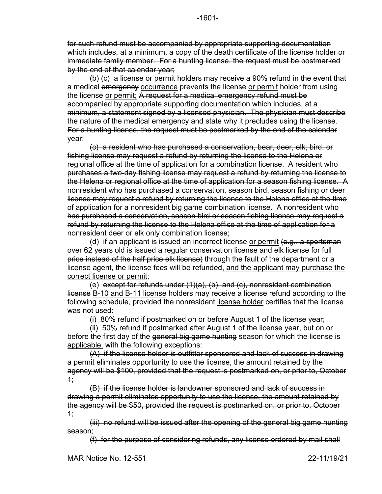for such refund must be accompanied by appropriate supporting documentation which includes, at a minimum, a copy of the death certificate of the license holder or immediate family member. For a hunting license, the request must be postmarked by the end of that calendar year;

 $\left\langle \varphi \right\rangle$  (c) a license or permit holders may receive a 90% refund in the event that a medical emergency occurrence prevents the license or permit holder from using the license or permit; A request for a medical emergency refund must be accompanied by appropriate supporting documentation which includes, at a minimum, a statement signed by a licensed physician. The physician must describe the nature of the medical emergency and state why it precludes using the license. For a hunting license, the request must be postmarked by the end of the calendar year;

(c) a resident who has purchased a conservation, bear, deer, elk, bird, or fishing license may request a refund by returning the license to the Helena or regional office at the time of application for a combination license. A resident who purchases a two-day fishing license may request a refund by returning the license to the Helena or regional office at the time of application for a season fishing license. A nonresident who has purchased a conservation, season bird, season fishing or deer license may request a refund by returning the license to the Helena office at the time of application for a nonresident big game combination license. A nonresident who has purchased a conservation, season bird or season fishing license may request a refund by returning the license to the Helena office at the time of application for a nonresident deer or elk only combination license;

(d) if an applicant is issued an incorrect license or permit (e.g., a sportsman over 62 years old is issued a regular conservation license and elk license for full price instead of the half price elk license) through the fault of the department or a license agent, the license fees will be refunded, and the applicant may purchase the correct license or permit;

(e) except for refunds under (1)(a), (b), and (c), nonresident combination license B-10 and B-11 license holders may receive a license refund according to the following schedule, provided the nonresident license holder certifies that the license was not used:

(i) 80% refund if postmarked on or before August 1 of the license year;

(ii) 50% refund if postmarked after August 1 of the license year, but on or before the first day of the general big game hunting season for which the license is applicable. with the following exceptions:

(A) if the license holder is outfitter sponsored and lack of success in drawing a permit eliminates opportunity to use the license, the amount retained by the agency will be \$100, provided that the request is postmarked on, or prior to, October  $+$ 

(B) if the license holder is landowner sponsored and lack of success in drawing a permit eliminates opportunity to use the license, the amount retained by the agency will be \$50, provided the request is postmarked on, or prior to, October  $1:$ 

(iii) no refund will be issued after the opening of the general big game hunting season;

(f) for the purpose of considering refunds, any license ordered by mail shall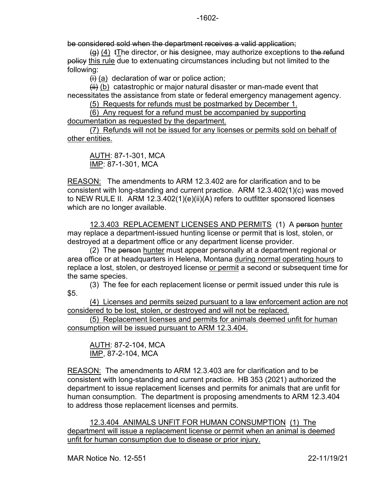be considered sold when the department receives a valid application;

 $(a)$  (4) tThe director, or his designee, may authorize exceptions to the refund policy this rule due to extenuating circumstances including but not limited to the following:

 $\overline{a}$  (a) declaration of war or police action;

 $H$  (b) catastrophic or major natural disaster or man-made event that necessitates the assistance from state or federal emergency management agency.

(5) Requests for refunds must be postmarked by December 1.

(6) Any request for a refund must be accompanied by supporting documentation as requested by the department.

(7) Refunds will not be issued for any licenses or permits sold on behalf of other entities.

AUTH: 87-1-301, MCA IMP: 87-1-301, MCA

REASON: The amendments to ARM 12.3.402 are for clarification and to be consistent with long-standing and current practice. ARM 12.3.402(1)(c) was moved to NEW RULE II. ARM 12.3.402(1)(e)(ii)(A) refers to outfitter sponsored licenses which are no longer available.

12.3.403 REPLACEMENT LICENSES AND PERMITS (1) A person hunter may replace a department-issued hunting license or permit that is lost, stolen, or destroyed at a department office or any department license provider.

(2) The person hunter must appear personally at a department regional or area office or at headquarters in Helena, Montana during normal operating hours to replace a lost, stolen, or destroyed license or permit a second or subsequent time for the same species.

(3) The fee for each replacement license or permit issued under this rule is \$5.

(4) Licenses and permits seized pursuant to a law enforcement action are not considered to be lost, stolen, or destroyed and will not be replaced.

(5) Replacement licenses and permits for animals deemed unfit for human consumption will be issued pursuant to ARM 12.3.404.

AUTH: 87-2-104, MCA IMP, 87-2-104, MCA

REASON: The amendments to ARM 12.3.403 are for clarification and to be consistent with long-standing and current practice. HB 353 (2021) authorized the department to issue replacement licenses and permits for animals that are unfit for human consumption. The department is proposing amendments to ARM 12.3.404 to address those replacement licenses and permits.

12.3.404 ANIMALS UNFIT FOR HUMAN CONSUMPTION (1) The department will issue a replacement license or permit when an animal is deemed unfit for human consumption due to disease or prior injury.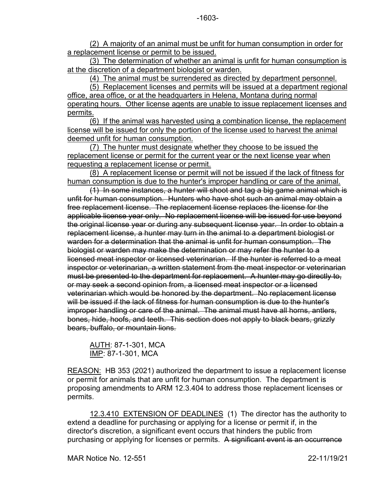(3) The determination of whether an animal is unfit for human consumption is at the discretion of a department biologist or warden.

(4) The animal must be surrendered as directed by department personnel.

(5) Replacement licenses and permits will be issued at a department regional office, area office, or at the headquarters in Helena, Montana during normal operating hours. Other license agents are unable to issue replacement licenses and permits.

(6) If the animal was harvested using a combination license, the replacement license will be issued for only the portion of the license used to harvest the animal deemed unfit for human consumption.

(7) The hunter must designate whether they choose to be issued the replacement license or permit for the current year or the next license year when requesting a replacement license or permit.

(8) A replacement license or permit will not be issued if the lack of fitness for human consumption is due to the hunter's improper handling or care of the animal.

(1) In some instances, a hunter will shoot and tag a big game animal which is unfit for human consumption. Hunters who have shot such an animal may obtain a free replacement license. The replacement license replaces the license for the applicable license year only. No replacement license will be issued for use beyond the original license year or during any subsequent license year. In order to obtain a replacement license, a hunter may turn in the animal to a department biologist or warden for a determination that the animal is unfit for human consumption. The biologist or warden may make the determination or may refer the hunter to a licensed meat inspector or licensed veterinarian. If the hunter is referred to a meat inspector or veterinarian, a written statement from the meat inspector or veterinarian must be presented to the department for replacement. A hunter may go directly to, or may seek a second opinion from, a licensed meat inspector or a licensed veterinarian which would be honored by the department. No replacement license will be issued if the lack of fitness for human consumption is due to the hunter's improper handling or care of the animal. The animal must have all horns, antlers, bones, hide, hoofs, and teeth. This section does not apply to black bears, grizzly bears, buffalo, or mountain lions.

```
AUTH: 87-1-301, MCA
IMP: 87-1-301, MCA
```
REASON: HB 353 (2021) authorized the department to issue a replacement license or permit for animals that are unfit for human consumption. The department is proposing amendments to ARM 12.3.404 to address those replacement licenses or permits.

12.3.410 EXTENSION OF DEADLINES (1) The director has the authority to extend a deadline for purchasing or applying for a license or permit if, in the director's discretion, a significant event occurs that hinders the public from purchasing or applying for licenses or permits. A significant event is an occurrence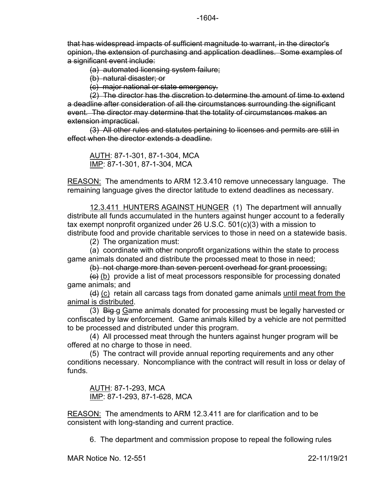that has widespread impacts of sufficient magnitude to warrant, in the director's opinion, the extension of purchasing and application deadlines. Some examples of a significant event include:

(a) automated licensing system failure;

(b) natural disaster; or

(c) major national or state emergency.

(2) The director has the discretion to determine the amount of time to extend a deadline after consideration of all the circumstances surrounding the significant event. The director may determine that the totality of circumstances makes an extension impractical.

(3) All other rules and statutes pertaining to licenses and permits are still in effect when the director extends a deadline.

AUTH: 87-1-301, 87-1-304, MCA IMP: 87-1-301, 87-1-304, MCA

REASON: The amendments to ARM 12.3.410 remove unnecessary language. The remaining language gives the director latitude to extend deadlines as necessary.

12.3.411 HUNTERS AGAINST HUNGER (1) The department will annually distribute all funds accumulated in the hunters against hunger account to a federally tax exempt nonprofit organized under 26 U.S.C. 501(c)(3) with a mission to distribute food and provide charitable services to those in need on a statewide basis.

(2) The organization must:

(a) coordinate with other nonprofit organizations within the state to process game animals donated and distribute the processed meat to those in need;

(b) not charge more than seven percent overhead for grant processing;

 $\left(\frac{1}{2}\right)$  (b) provide a list of meat processors responsible for processing donated game animals; and

 $(d)$  (c) retain all carcass tags from donated game animals until meat from the animal is distributed.

(3) Big g Game animals donated for processing must be legally harvested or confiscated by law enforcement. Game animals killed by a vehicle are not permitted to be processed and distributed under this program.

(4) All processed meat through the hunters against hunger program will be offered at no charge to those in need.

(5) The contract will provide annual reporting requirements and any other conditions necessary. Noncompliance with the contract will result in loss or delay of funds.

AUTH: 87-1-293, MCA IMP: 87-1-293, 87-1-628, MCA

REASON: The amendments to ARM 12.3.411 are for clarification and to be consistent with long-standing and current practice.

6. The department and commission propose to repeal the following rules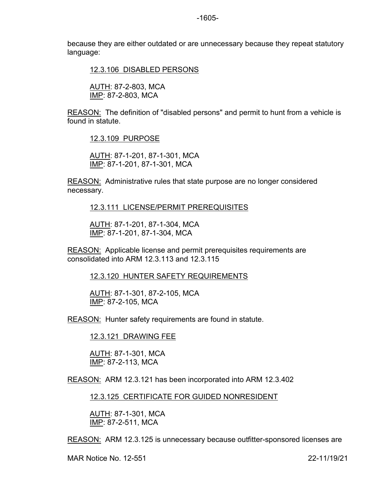because they are either outdated or are unnecessary because they repeat statutory language:

12.3.106 DISABLED PERSONS

AUTH: 87-2-803, MCA IMP: 87-2-803, MCA

REASON: The definition of "disabled persons" and permit to hunt from a vehicle is found in statute.

12.3.109 PURPOSE

AUTH: 87-1-201, 87-1-301, MCA IMP: 87-1-201, 87-1-301, MCA

REASON: Administrative rules that state purpose are no longer considered necessary.

12.3.111 LICENSE/PERMIT PREREQUISITES

AUTH: 87-1-201, 87-1-304, MCA IMP: 87-1-201, 87-1-304, MCA

REASON: Applicable license and permit prerequisites requirements are consolidated into ARM 12.3.113 and 12.3.115

12.3.120 HUNTER SAFETY REQUIREMENTS

AUTH: 87-1-301, 87-2-105, MCA IMP: 87-2-105, MCA

REASON: Hunter safety requirements are found in statute.

12.3.121 DRAWING FEE

AUTH: 87-1-301, MCA IMP: 87-2-113, MCA

REASON: ARM 12.3.121 has been incorporated into ARM 12.3.402

12.3.125 CERTIFICATE FOR GUIDED NONRESIDENT

AUTH: 87-1-301, MCA IMP: 87-2-511, MCA

REASON: ARM 12.3.125 is unnecessary because outfitter-sponsored licenses are

MAR Notice No. 12-551 22-11/19/21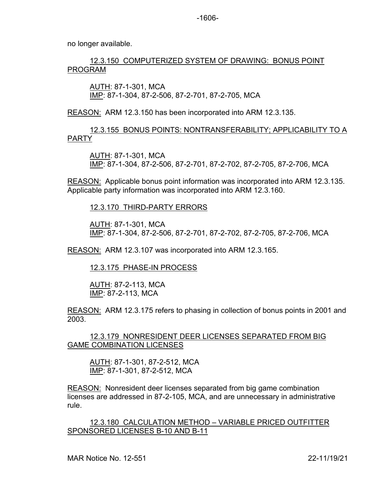no longer available.

## 12.3.150 COMPUTERIZED SYSTEM OF DRAWING: BONUS POINT PROGRAM

AUTH: 87-1-301, MCA IMP: 87-1-304, 87-2-506, 87-2-701, 87-2-705, MCA

REASON: ARM 12.3.150 has been incorporated into ARM 12.3.135.

12.3.155 BONUS POINTS: NONTRANSFERABILITY; APPLICABILITY TO A PARTY

AUTH: 87-1-301, MCA IMP: 87-1-304, 87-2-506, 87-2-701, 87-2-702, 87-2-705, 87-2-706, MCA

REASON: Applicable bonus point information was incorporated into ARM 12.3.135. Applicable party information was incorporated into ARM 12.3.160.

12.3.170 THIRD-PARTY ERRORS

AUTH: 87-1-301, MCA IMP: 87-1-304, 87-2-506, 87-2-701, 87-2-702, 87-2-705, 87-2-706, MCA

REASON: ARM 12.3.107 was incorporated into ARM 12.3.165.

12.3.175 PHASE-IN PROCESS

AUTH: 87-2-113, MCA IMP: 87-2-113, MCA

REASON: ARM 12.3.175 refers to phasing in collection of bonus points in 2001 and 2003.

12.3.179 NONRESIDENT DEER LICENSES SEPARATED FROM BIG GAME COMBINATION LICENSES

AUTH: 87-1-301, 87-2-512, MCA IMP: 87-1-301, 87-2-512, MCA

REASON: Nonresident deer licenses separated from big game combination licenses are addressed in 87-2-105, MCA, and are unnecessary in administrative rule.

12.3.180 CALCULATION METHOD – VARIABLE PRICED OUTFITTER SPONSORED LICENSES B-10 AND B-11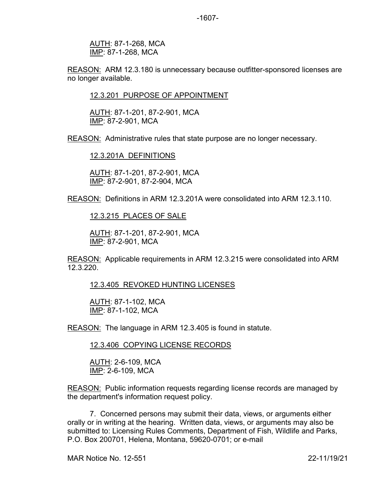AUTH: 87-1-268, MCA IMP: 87-1-268, MCA

REASON: ARM 12.3.180 is unnecessary because outfitter-sponsored licenses are no longer available.

12.3.201 PURPOSE OF APPOINTMENT

AUTH: 87-1-201, 87-2-901, MCA IMP: 87-2-901, MCA

REASON: Administrative rules that state purpose are no longer necessary.

12.3.201A DEFINITIONS

AUTH: 87-1-201, 87-2-901, MCA IMP: 87-2-901, 87-2-904, MCA

REASON: Definitions in ARM 12.3.201A were consolidated into ARM 12.3.110.

12.3.215 PLACES OF SALE

AUTH: 87-1-201, 87-2-901, MCA IMP: 87-2-901, MCA

REASON: Applicable requirements in ARM 12.3.215 were consolidated into ARM 12.3.220.

12.3.405 REVOKED HUNTING LICENSES

AUTH: 87-1-102, MCA IMP: 87-1-102, MCA

REASON: The language in ARM 12.3.405 is found in statute.

12.3.406 COPYING LICENSE RECORDS

AUTH: 2-6-109, MCA IMP: 2-6-109, MCA

REASON: Public information requests regarding license records are managed by the department's information request policy.

7. Concerned persons may submit their data, views, or arguments either orally or in writing at the hearing. Written data, views, or arguments may also be submitted to: Licensing Rules Comments, Department of Fish, Wildlife and Parks, P.O. Box 200701, Helena, Montana, 59620-0701; or e-mail